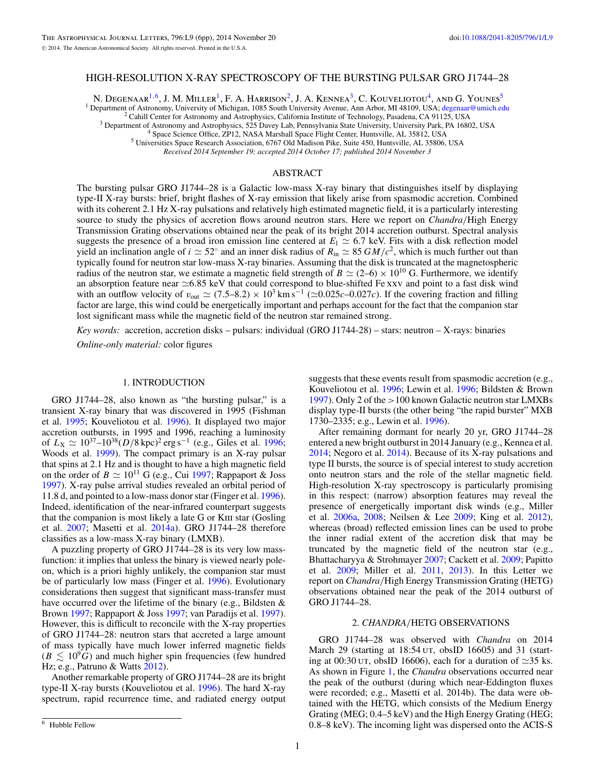# HIGH-RESOLUTION X-RAY SPECTROSCOPY OF THE BURSTING PULSAR GRO J1744–28

N. DEGENAAR<sup>1,6</sup>, J. M. MILLER<sup>1</sup>, F. A. HARRISON<sup>2</sup>, J. A. KENNEA<sup>3</sup>, C. KOUVELIOTOU<sup>4</sup>, AND G. YOUNES<sup>5</sup><sup>1</sup> Department of Astronomy, University of Michigan, 1085 South University Avenue, Ann Arbor, MI 48109, USA; degenaa

<sup>2</sup> Cahill Center for Astronomy and Astrophysics, California Institute of Technology, Pasadena, CA 91125, USA <sup>3</sup> Department of Astronomy and Astrophysics, 525 Davey Lab, Pennsylvania State University, University Park, PA

*Received 2014 September 19; accepted 2014 October 17; published 2014 November 3*

# ABSTRACT

The bursting pulsar GRO J1744–28 is a Galactic low-mass X-ray binary that distinguishes itself by displaying type-II X-ray bursts: brief, bright flashes of X-ray emission that likely arise from spasmodic accretion. Combined with its coherent 2.1 Hz X-ray pulsations and relatively high estimated magnetic field, it is a particularly interesting source to study the physics of accretion flows around neutron stars. Here we report on *Chandra/*High Energy Transmission Grating observations obtained near the peak of its bright 2014 accretion outburst. Spectral analysis suggests the presence of a broad iron emission line centered at  $E_1 \simeq 6.7$  keV. Fits with a disk reflection model yield an inclination angle of  $i \approx 52^\circ$  and an inner disk radius of  $R_{\rm in} \approx 85 \, GM/c^2$ , which is much further out than typically found for neutron star low-mass X-ray binaries. Assuming that the disk is truncated at the magnetospheric radius of the neutron star, we estimate a magnetic field strength of  $B \simeq (2-6) \times 10^{10}$  G. Furthermore, we identify an absorption feature near  $\simeq 6.85$  keV that could correspond to blue-shifted Fe xxv and point to a fast disk wind with an outflow velocity of  $v_{\text{out}} \simeq (7.5-8.2) \times 10^3 \text{ km s}^{-1}$  ( $\simeq 0.025c-0.027c$ ). If the covering fraction and filling factor are large, this wind could be energetically important and perhaps account for the fact that the companion star lost significant mass while the magnetic field of the neutron star remained strong.

*Key words:* accretion, accretion disks – pulsars: individual (GRO J1744-28) – stars: neutron – X-rays: binaries *Online-only material:* color figures

## 1. INTRODUCTION

GRO J1744–28, also known as "the bursting pulsar," is a transient X-ray binary that was discovered in 1995 (Fishman et al. [1995;](#page-5-0) Kouveliotou et al. [1996\)](#page-5-0). It displayed two major accretion outbursts, in 1995 and 1996, reaching a luminosity of  $L_X \simeq 10^{37}$ –10<sup>38</sup>(D/8 kpc)<sup>2</sup> erg s<sup>-1</sup> (e.g., Giles et al. [1996;](#page-5-0) Woods et al. [1999\)](#page-5-0). The compact primary is an X-ray pulsar that spins at 2.1 Hz and is thought to have a high magnetic field on the order of  $B \simeq 10^{11}$  G (e.g., Cui [1997;](#page-5-0) Rappaport & Joss [1997\)](#page-5-0). X-ray pulse arrival studies revealed an orbital period of 11.8 d, and pointed to a low-mass donor star (Finger et al. [1996\)](#page-5-0). Indeed, identification of the near-infrared counterpart suggests that the companion is most likely a late G or KIII star (Gosling) et al. [2007;](#page-5-0) Masetti et al. [2014a\)](#page-5-0). GRO J1744–28 therefore classifies as a low-mass X-ray binary (LMXB).

A puzzling property of GRO J1744–28 is its very low massfunction: it implies that unless the binary is viewed nearly poleon, which is a priori highly unlikely, the companion star must be of particularly low mass (Finger et al. [1996\)](#page-5-0). Evolutionary considerations then suggest that significant mass-transfer must have occurred over the lifetime of the binary (e.g., Bildsten & Brown [1997;](#page-5-0) Rappaport & Joss [1997;](#page-5-0) van Paradijs et al. [1997\)](#page-5-0). However, this is difficult to reconcile with the X-ray properties of GRO J1744–28: neutron stars that accreted a large amount of mass typically have much lower inferred magnetic fields  $(B \leq 10^{9} \text{G})$  and much higher spin frequencies (few hundred Hz; e.g., Patruno & Watts [2012\)](#page-5-0).

Another remarkable property of GRO J1744–28 are its bright type-II X-ray bursts (Kouveliotou et al. [1996\)](#page-5-0). The hard X-ray spectrum, rapid recurrence time, and radiated energy output suggests that these events result from spasmodic accretion (e.g., Kouveliotou et al. [1996;](#page-5-0) Lewin et al. [1996;](#page-5-0) Bildsten & Brown [1997\)](#page-5-0). Only 2 of the *>*100 known Galactic neutron star LMXBs display type-II bursts (the other being "the rapid burster" MXB 1730–2335; e.g., Lewin et al. [1996\)](#page-5-0).

After remaining dormant for nearly 20 yr, GRO J1744–28 entered a new bright outburst in 2014 January (e.g., Kennea et al. [2014;](#page-5-0) Negoro et al. [2014\)](#page-5-0). Because of its X-ray pulsations and type II bursts, the source is of special interest to study accretion onto neutron stars and the role of the stellar magnetic field. High-resolution X-ray spectroscopy is particularly promising in this respect: (narrow) absorption features may reveal the presence of energetically important disk winds (e.g., Miller et al. [2006a,](#page-5-0) [2008;](#page-5-0) Neilsen & Lee [2009;](#page-5-0) King et al. [2012\)](#page-5-0), whereas (broad) reflected emission lines can be used to probe the inner radial extent of the accretion disk that may be truncated by the magnetic field of the neutron star (e.g., Bhattacharyya & Strohmayer [2007;](#page-5-0) Cackett et al. [2009;](#page-5-0) Papitto et al. [2009;](#page-5-0) Miller et al. [2011,](#page-5-0) [2013\)](#page-5-0). In this Letter we report on *Chandra/*High Energy Transmission Grating (HETG) observations obtained near the peak of the 2014 outburst of GRO J1744–28.

#### 2. *CHANDRA/*HETG OBSERVATIONS

GRO J1744–28 was observed with *Chandra* on 2014 March 29 (starting at  $18:54$  UT, obsID 16605) and 31 (starting at 00:30  $UT$ , obsID 16606), each for a duration of  $\simeq$ 35 ks. As shown in Figure [1,](#page-1-0) the *Chandra* observations occurred near the peak of the outburst (during which near-Eddington fluxes were recorded; e.g., Masetti et al. 2014b). The data were obtained with the HETG, which consists of the Medium Energy Grating (MEG; 0*.*4–5 keV) and the High Energy Grating (HEG; 0*.*8–8 keV). The incoming light was dispersed onto the ACIS-S

<sup>6</sup> Hubble Fellow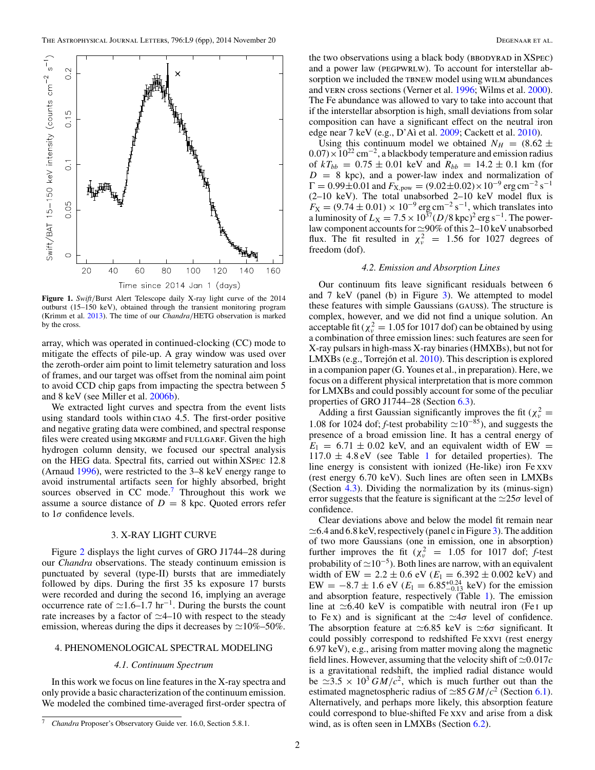<span id="page-1-0"></span>

**Figure 1.** *Swift/*Burst Alert Telescope daily X-ray light curve of the 2014 outburst (15–150 keV), obtained through the transient monitoring program (Krimm et al. [2013\)](#page-5-0). The time of our *Chandra/*HETG observation is marked by the cross.

array, which was operated in continued-clocking (CC) mode to mitigate the effects of pile-up. A gray window was used over the zeroth-order aim point to limit telemetry saturation and loss of frames, and our target was offset from the nominal aim point to avoid CCD chip gaps from impacting the spectra between 5 and 8 keV (see Miller et al. [2006b\)](#page-5-0).

We extracted light curves and spectra from the event lists using standard tools within ciao 4.5. The first-order positive and negative grating data were combined, and spectral response files were created using MKGRMF and FULLGARF. Given the high hydrogen column density, we focused our spectral analysis on the HEG data. Spectral fits, carried out within XSpec 12.8 (Arnaud [1996\)](#page-5-0), were restricted to the 3–8 keV energy range to avoid instrumental artifacts seen for highly absorbed, bright sources observed in CC mode.<sup>7</sup> Throughout this work we assume a source distance of  $D = 8$  kpc. Quoted errors refer to 1*σ* confidence levels.

## 3. X-RAY LIGHT CURVE

Figure [2](#page-2-0) displays the light curves of GRO J1744–28 during our *Chandra* observations. The steady continuum emission is punctuated by several (type-II) bursts that are immediately followed by dips. During the first 35 ks exposure 17 bursts were recorded and during the second 16, implying an average occurrence rate of  $\simeq$ 1.6–1.7 hr<sup>-1</sup>. During the bursts the count rate increases by a factor of  $\simeq$ 4-10 with respect to the steady emission, whereas during the dips it decreases by  $\simeq$  10%–50%.

## 4. PHENOMENOLOGICAL SPECTRAL MODELING

#### *4.1. Continuum Spectrum*

In this work we focus on line features in the X-ray spectra and only provide a basic characterization of the continuum emission. We modeled the combined time-averaged first-order spectra of the two observations using a black body (BBODYRAD in XSPEC) and a power law (PEGPWRLW). To account for interstellar absorption we included the TBNEW model using WILM abundances and vern cross sections (Verner et al. [1996;](#page-5-0) Wilms et al. [2000\)](#page-5-0). The Fe abundance was allowed to vary to take into account that if the interstellar absorption is high, small deviations from solar composition can have a significant effect on the neutral iron edge near 7 keV (e.g., D'Aì et al. [2009;](#page-5-0) Cackett et al. [2010\)](#page-5-0).

Using this continuum model we obtained  $N_H = (8.62 \pm 1.00)$ <sup>0</sup>*.*07)×1022 cm−2, a blackbody temperature and emission radius of  $kT_{bb} = 0.75 \pm 0.01$  keV and  $R_{bb} = 14.2 \pm 0.1$  km (for  $D = 8$  kpc), and a power-law index and normalization of  $\Gamma = 0.99 \pm 0.01$  and  $F_{X, pow} = (9.02 \pm 0.02) \times 10^{-9}$  erg cm<sup>-2</sup> s<sup>-1</sup> (2–10 keV). The total unabsorbed 2–10 keV model flux is  $F_X = (9.74 \pm 0.01) \times 10^{-9}$  erg cm<sup>-2</sup> s<sup>-1</sup>, which translates into a luminosity of  $L_X = 7.5 \times 10^{37} (D/8 \text{ kpc})^2 \text{ erg s}^{-1}$ . The powerlaw component accounts for  $\simeq 90\%$  of this 2–10 keV unabsorbed<br>flux. The fit resulted in  $\chi^2_{\nu} = 1.56$  for 1027 degrees of freedom (dof).

#### *4.2. Emission and Absorption Lines*

Our continuum fits leave significant residuals between 6 and 7 keV (panel (b) in Figure [3\)](#page-3-0). We attempted to model these features with simple Gaussians (gauss). The structure is complex, however, and we did not find a unique solution. An acceptable fit ( $\chi^2_{\nu} = 1.05$  for 1017 dof) can be obtained by using a combination of three emission lines: such features are seen for X-ray pulsars in high-mass X-ray binaries (HMXBs), but not for LMXBs (e.g., Torrejón et al.  $2010$ ). This description is explored in a companion paper (G. Younes et al., in preparation). Here, we focus on a different physical interpretation that is more common for LMXBs and could possibly account for some of the peculiar properties of GRO J1744–28 (Section [6.3\)](#page-4-0).

Adding a first Gaussian significantly improves the fit ( $\chi^2_\nu$  = 1.08 for 1024 dof; *f*-test probability  $\approx 10^{-85}$ ), and suggests the presence of a broad emission line. It has a central energy of  $E_1 = 6.71 \pm 0.02$  keV, and an equivalent width of EW =  $117.0 \pm 4.8$  $117.0 \pm 4.8$  eV (see Table 1 for detailed properties). The line energy is consistent with ionized (He-like) iron Fe xxv (rest energy 6*.*70 keV). Such lines are often seen in LMXBs (Section [4.3\)](#page-3-0). Dividing the normalization by its (minus-sign) error suggests that the feature is significant at the  $\approx 25\sigma$  level of confidence.

Clear deviations above and below the model fit remain near  $\approx$  6.4 and 6.8 keV, respectively (panel c in Figure [3\)](#page-3-0). The addition of two more Gaussians (one in emission, one in absorption) further improves the fit ( $\chi^2$  = 1.05 for 1017 dof; *f*-test probability of  $\simeq$ 10<sup>−5</sup>). Both lines are narrow, with an equivalent width of EW =  $2.2 \pm 0.6$  eV ( $E_1 = 6.392 \pm 0.002$  keV) and EW =  $-8.7 \pm 1.6$  eV ( $E_1 = 6.85^{+0.24}_{-0.13}$  keV) for the emission and absorption feature, respectively (Table [1\)](#page-2-0). The emission line at  $\simeq 6.40$  keV is compatible with neutral iron (Fe I up to Fe x) and is significant at the  $\simeq 4\sigma$  level of confidence. The absorption feature at  $\approx 6.85$  keV is  $\approx 6\sigma$  significant. It could possibly correspond to redshifted Fe xxvi (rest energy 6.97 keV), e.g., arising from matter moving along the magnetic field lines. However, assuming that the velocity shift of  $\simeq 0.017c$ is a gravitational redshift, the implied radial distance would be  $\approx 3.5 \times 10^3$  *GM/c*<sup>2</sup>, which is much further out than the estimated magnetospheric radius of  $\approx 85$  *GM/c*<sup>2</sup> (Section [6.1\)](#page-4-0). Alternatively, and perhaps more likely, this absorption feature could correspond to blue-shifted Fe xxv and arise from a disk wind, as is often seen in LMXBs (Section [6.2\)](#page-4-0).

<sup>7</sup> *Chandra* Proposer's Observatory Guide ver. 16.0, Section 5.8.1.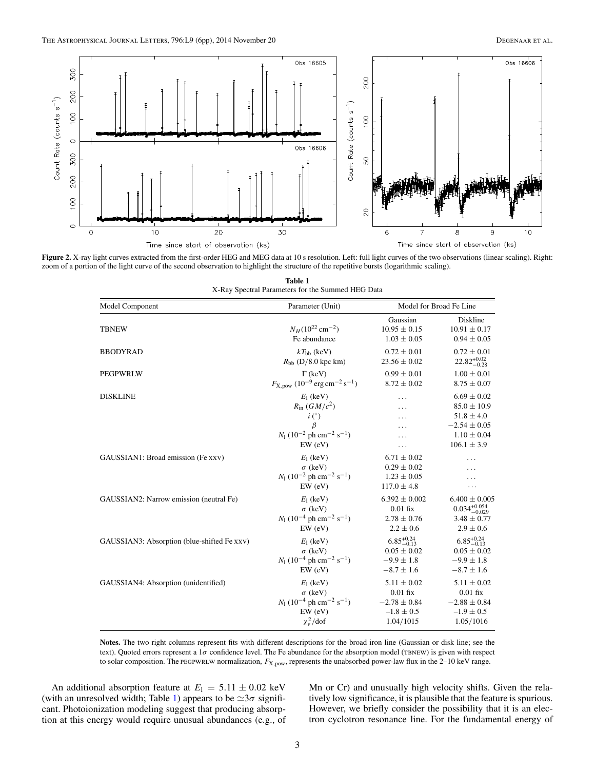<span id="page-2-0"></span>

**Figure 2.** X-ray light curves extracted from the first-order HEG and MEG data at 10 s resolution. Left: full light curves of the two observations (linear scaling). Right: zoom of a portion of the light curve of the second observation to highlight the structure of the repetitive bursts (logarithmic scaling).

| <b>Table 1</b>                                    |
|---------------------------------------------------|
| X-Ray Spectral Parameters for the Summed HEG Data |

| Model Component                             | Parameter (Unit)                                                                                                                             | Model for Broad Fe Line                                                  |                                                                                                                |
|---------------------------------------------|----------------------------------------------------------------------------------------------------------------------------------------------|--------------------------------------------------------------------------|----------------------------------------------------------------------------------------------------------------|
| <b>TBNEW</b>                                | $N_H(10^{22}$ cm <sup>-2</sup> )<br>Fe abundance                                                                                             | Gaussian<br>$10.95 \pm 0.15$<br>$1.03 \pm 0.05$                          | Diskline<br>$10.91 \pm 0.17$<br>$0.94 \pm 0.05$                                                                |
| <b>BBODYRAD</b>                             | $kT_{\rm bb}$ (keV)                                                                                                                          | $0.72 \pm 0.01$                                                          | $0.72 \pm 0.01$                                                                                                |
|                                             | $R_{\rm bb}$ (D/8.0 kpc km)                                                                                                                  | $23.56 \pm 0.02$                                                         | $22.82^{+0.02}_{-0.28}$                                                                                        |
| <b>PEGPWRLW</b>                             | $\Gamma$ (keV)                                                                                                                               | $0.99 \pm 0.01$                                                          | $1.00 \pm 0.01$                                                                                                |
|                                             | $F_{\text{X,pow}}$ (10 <sup>-9</sup> erg cm <sup>-2</sup> s <sup>-1</sup> )                                                                  | $8.72 \pm 0.02$                                                          | $8.75 \pm 0.07$                                                                                                |
| <b>DISKLINE</b>                             | $E_1$ (keV)<br>$R_{\rm in}$ (GM/ $c^2$ )<br>$i\binom{\circ}{ }$<br>$\beta$<br>$N_1 (10^{-2} \text{ ph cm}^{-2} \text{ s}^{-1})$<br>$EW$ (eV) | .<br>.<br>.<br>$\cdots$                                                  | $6.69 \pm 0.02$<br>$85.0 \pm 10.9$<br>$51.8 \pm 4.0$<br>$-2.54 \pm 0.05$<br>$1.10 \pm 0.04$<br>$106.1 \pm 3.9$ |
| GAUSSIAN1: Broad emission (Fe xxv)          | $E_1$ (keV)<br>$\sigma$ (keV)<br>$N_1 (10^{-2} \text{ ph cm}^{-2} \text{ s}^{-1})$<br>$EW$ (eV)                                              | $6.71 \pm 0.02$<br>$0.29 \pm 0.02$<br>$1.23 \pm 0.05$<br>$117.0 \pm 4.8$ | .<br>.                                                                                                         |
| GAUSSIAN2: Narrow emission (neutral Fe)     | $E_1$ (keV)                                                                                                                                  | $6.392 \pm 0.002$                                                        | $6.400 \pm 0.005$                                                                                              |
|                                             | $\sigma$ (keV)                                                                                                                               | $0.01$ fix                                                               | $0.034_{-0.029}^{+0.054}$                                                                                      |
|                                             | $N_1 (10^{-4} \text{ ph cm}^{-2} \text{ s}^{-1})$                                                                                            | $2.78 \pm 0.76$                                                          | $3.48 \pm 0.77$                                                                                                |
|                                             | $EW$ (eV)                                                                                                                                    | $2.2 \pm 0.6$                                                            | $2.9 \pm 0.6$                                                                                                  |
| GAUSSIAN3: Absorption (blue-shifted Fe xxv) | $E_1$ (keV)                                                                                                                                  | $6.85^{+0.24}_{-0.13}$                                                   | $6.85^{+0.24}_{-0.13}$                                                                                         |
|                                             | $\sigma$ (keV)                                                                                                                               | $0.05 \pm 0.02$                                                          | $0.05 \pm 0.02$                                                                                                |
|                                             | $N_1 (10^{-4} \text{ ph cm}^{-2} \text{ s}^{-1})$                                                                                            | $-9.9 \pm 1.8$                                                           | $-9.9 \pm 1.8$                                                                                                 |
|                                             | $EW$ (eV)                                                                                                                                    | $-8.7 \pm 1.6$                                                           | $-8.7 \pm 1.6$                                                                                                 |
| GAUSSIAN4: Absorption (unidentified)        | $E_1$ (keV)                                                                                                                                  | $5.11 \pm 0.02$                                                          | $5.11 \pm 0.02$                                                                                                |
|                                             | $\sigma$ (keV)                                                                                                                               | $0.01$ fix                                                               | $0.01$ fix                                                                                                     |
|                                             | $N_1 (10^{-4} \text{ ph cm}^{-2} \text{ s}^{-1})$                                                                                            | $-2.78 \pm 0.84$                                                         | $-2.88 \pm 0.84$                                                                                               |
|                                             | $EW$ (eV)                                                                                                                                    | $-1.8 \pm 0.5$                                                           | $-1.9 \pm 0.5$                                                                                                 |
|                                             | $\chi^2_\nu$ /dof                                                                                                                            | 1.04/1015                                                                | 1.05/1016                                                                                                      |

**Notes.** The two right columns represent fits with different descriptions for the broad iron line (Gaussian or disk line; see the text). Quoted errors represent a 1σ confidence level. The Fe abundance for the absorption model (TBNEW) is given with respect to solar composition. The PEGPWRLW normalization,  $F_{X, pow}$ , represents the unabsorbed power-law flux in the 2–10 keV range.

An additional absorption feature at  $E_1 = 5.11 \pm 0.02$  keV (with an unresolved width; Table 1) appears to be  $\simeq 3\sigma$  significant. Photoionization modeling suggest that producing absorption at this energy would require unusual abundances (e.g., of Mn or Cr) and unusually high velocity shifts. Given the relatively low significance, it is plausible that the feature is spurious. However, we briefly consider the possibility that it is an electron cyclotron resonance line. For the fundamental energy of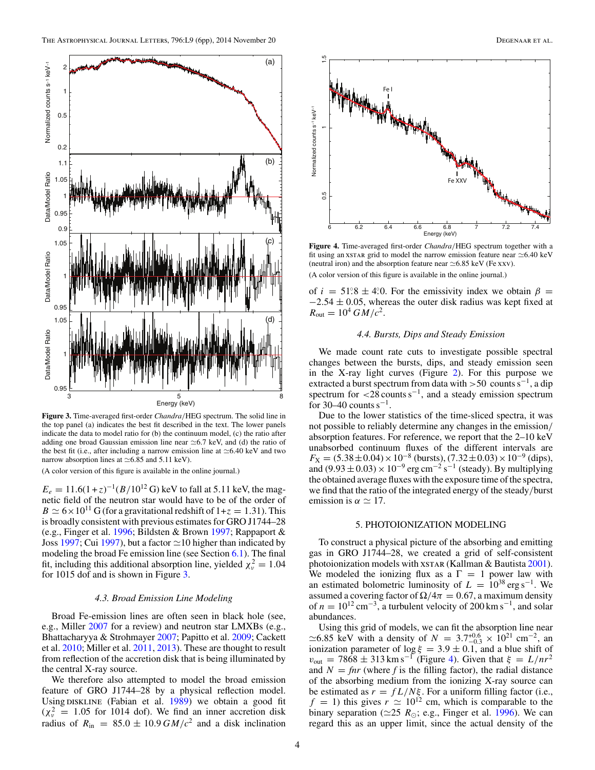<span id="page-3-0"></span>

**Figure 3.** Time-averaged first-order *Chandra/*HEG spectrum. The solid line in the top panel (a) indicates the best fit described in the text. The lower panels indicate the data to model ratio for (b) the continuum model, (c) the ratio after adding one broad Gaussian emission line near  $\simeq 6.7$  keV, and (d) the ratio of the best fit (i.e., after including a narrow emission line at  $\simeq 6.40$  keV and two narrow absorption lines at  $\simeq 6.85$  and 5.11 keV).

(A color version of this figure is available in the online journal.)

 $E_e = 11.6(1+z)^{-1}(B/10^{12} \text{ G})$  keV to fall at 5.11 keV, the magnetic field of the neutron star would have to be of the order of  $B \simeq 6 \times 10^{11}$  G (for a gravitational redshift of  $1+z = 1.31$ ). This is broadly consistent with previous estimates for GRO J1744–28 (e.g., Finger et al. [1996;](#page-5-0) Bildsten & Brown [1997;](#page-5-0) Rappaport & Joss [1997;](#page-5-0) Cui [1997\)](#page-5-0), but a factor  $\simeq$  10 higher than indicated by modeling the broad Fe emission line (see Section [6.1\)](#page-4-0). The final fit, including this additional absorption line, yielded  $\chi^2_{\nu} = 1.04$ for 1015 dof and is shown in Figure 3.

## *4.3. Broad Emission Line Modeling*

Broad Fe-emission lines are often seen in black hole (see, e.g., Miller [2007](#page-5-0) for a review) and neutron star LMXBs (e.g., Bhattacharyya & Strohmayer [2007;](#page-5-0) Papitto et al. [2009;](#page-5-0) Cackett et al. [2010;](#page-5-0) Miller et al. [2011,](#page-5-0) [2013\)](#page-5-0). These are thought to result from reflection of the accretion disk that is being illuminated by the central X-ray source.

We therefore also attempted to model the broad emission feature of GRO J1744–28 by a physical reflection model. Using DISKLINE (Fabian et al. [1989\)](#page-5-0) we obtain a good fit  $(\chi^2_{\nu}) = 1.05$  for 1014 dof). We find an inner accretion disk radius of  $R_{\text{in}} = 85.0 \pm 10.9 \, GM/c^2$  and a disk inclination



**Figure 4.** Time-averaged first-order *Chandra/*HEG spectrum together with a fit using an xstar grid to model the narrow emission feature near  $\simeq 6.40 \text{ keV}$ (neutral iron) and the absorption feature near  $\simeq 6.85$  keV (Fe xxv). (A color version of this figure is available in the online journal.)

of  $i = 51.8 \pm 4.0$ . For the emissivity index we obtain  $\beta =$ −2*.*54 ± 0*.*05, whereas the outer disk radius was kept fixed at  $R_{\text{out}} = 10^4 \, GM/c^2$ .

#### *4.4. Bursts, Dips and Steady Emission*

We made count rate cuts to investigate possible spectral changes between the bursts, dips, and steady emission seen in the X-ray light curves (Figure [2\)](#page-2-0). For this purpose we extracted a burst spectrum from data with *>*50 counts s−1, a dip spectrum for <28 counts s<sup>-1</sup>, and a steady emission spectrum for 30–40 counts  $s^{-1}$ .

Due to the lower statistics of the time-sliced spectra, it was not possible to reliably determine any changes in the emission*/* absorption features. For reference, we report that the 2–10 keV unabsorbed continuum fluxes of the different intervals are  $F_X = (5.38 \pm 0.04) \times 10^{-8}$  (bursts),  $(7.32 \pm 0.03) \times 10^{-9}$  (dips), and  $(9.93 \pm 0.03) \times 10^{-9}$  erg cm<sup>-2</sup> s<sup>-1</sup> (steady). By multiplying the obtained average fluxes with the exposure time of the spectra, we find that the ratio of the integrated energy of the steady*/*burst emission is  $\alpha \simeq 17$ .

## 5. PHOTOIONIZATION MODELING

To construct a physical picture of the absorbing and emitting gas in GRO J1744–28, we created a grid of self-consistent photoionization models with xstar (Kallman & Bautista [2001\)](#page-5-0). We modeled the ionizing flux as a  $\Gamma = 1$  power law with an estimated bolometric luminosity of  $L = 10^{38} \text{ erg s}^{-1}$ . We assumed a covering factor of  $\Omega/4\pi = 0.67$ , a maximum density of  $n = 10^{12} \text{ cm}^{-3}$ , a turbulent velocity of 200 km s<sup>-1</sup>, and solar abundances.

Using this grid of models, we can fit the absorption line near  $\simeq$  6.85 keV with a density of *N* = 3.7<sup>+0,6</sup> × 10<sup>21</sup> cm<sup>−2</sup>, an ionization parameter of  $\log \xi = 3.9 \pm 0.1$ , and a blue shift of  $v_{\text{out}} = 7868 \pm 313 \text{ km s}^{-1}$  (Figure 4). Given that  $\xi = L/nr^2$ and  $N = \text{fnr}$  (where f is the filling factor), the radial distance of the absorbing medium from the ionizing X-ray source can be estimated as  $r = f L/N\xi$ . For a uniform filling factor (i.e.,  $f = 1$ ) this gives  $r \approx 10^{12}$  cm, which is comparable to the binary separation ( $\simeq$ 25 *R*<sub> $\odot$ </sub>; e.g., Finger et al. [1996\)](#page-5-0). We can regard this as an upper limit, since the actual density of the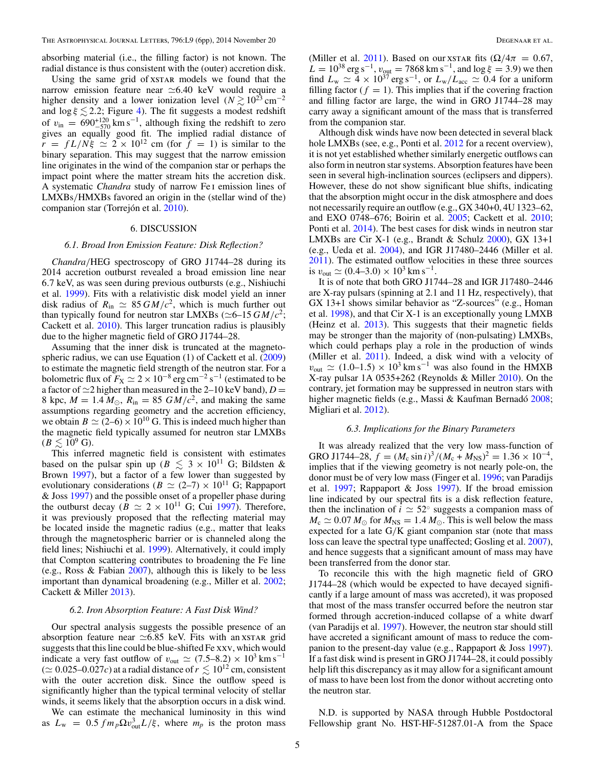<span id="page-4-0"></span>absorbing material (i.e., the filling factor) is not known. The radial distance is thus consistent with the (outer) accretion disk.

Using the same grid of XSTAR models we found that the narrow emission feature near  $\simeq 6.40$  keV would require a higher density and a lower ionization level ( $N \gtrsim 10^{23}$  cm<sup>-2</sup> and  $\log \xi \lesssim 2.2$ ; Figure [4\)](#page-3-0). The fit suggests a modest redshift of  $v_{\text{in}} = 690^{+120}_{-570} \text{ km s}^{-1}$ , although fixing the redshift to zero gives an equally good fit. The implied radial distance of  $\overline{r}$  =  $f L/N\xi \simeq 2 \times 10^{12}$  cm (for  $\overline{f}$  = 1) is similar to the binary separation. This may suggest that the narrow emission line originates in the wind of the companion star or perhaps the impact point where the matter stream hits the accretion disk. A systematic *Chandra* study of narrow Fe i emission lines of LMXBs*/*HMXBs favored an origin in the (stellar wind of the) companion star (Torrejón et al. [2010\)](#page-5-0).

## 6. DISCUSSION

#### *6.1. Broad Iron Emission Feature: Disk Reflection?*

*Chandra/*HEG spectroscopy of GRO J1744–28 during its 2014 accretion outburst revealed a broad emission line near 6*.*7 keV, as was seen during previous outbursts (e.g., Nishiuchi et al. [1999\)](#page-5-0). Fits with a relativistic disk model yield an inner disk radius of  $R_{\text{in}} \simeq 85 \frac{GM}{c^2}$ , which is much further out than typically found for neutron star LMXBs ( $\simeq$ 6–15 *GM/c*<sup>2</sup>; Cackett et al. [2010\)](#page-5-0). This larger truncation radius is plausibly due to the higher magnetic field of GRO J1744–28.

Assuming that the inner disk is truncated at the magnetospheric radius, we can use Equation (1) of Cackett et al. [\(2009\)](#page-5-0) to estimate the magnetic field strength of the neutron star. For a bolometric flux of  $F_X \simeq 2 \times 10^{-8}$  erg cm<sup>-2</sup> s<sup>-1</sup> (estimated to be a factor of  $\simeq$  2 higher than measured in the 2–10 keV band),  $D =$ 8 kpc,  $M = 1.4 M_{\odot}$ ,  $R_{\rm in} = 85 \text{ G}M/c^2$ , and making the same assumptions regarding geometry and the accretion efficiency, we obtain  $B \simeq (2-6) \times 10^{10}$  G. This is indeed much higher than the magnetic field typically assumed for neutron star LMXBs  $(B \lesssim 10^9$  G).

This inferred magnetic field is consistent with estimates based on the pulsar spin up ( $B \leq 3 \times 10^{11}$  G; Bildsten & Brown [1997\)](#page-5-0), but a factor of a few lower than suggested by evolutionary considerations ( $B \simeq (2-7) \times 10^{11}$  G; Rappaport & Joss [1997\)](#page-5-0) and the possible onset of a propeller phase during the outburst decay ( $\overline{B} \simeq 2 \times 10^{11}$  G; Cui [1997\)](#page-5-0). Therefore, it was previously proposed that the reflecting material may be located inside the magnetic radius (e.g., matter that leaks through the magnetospheric barrier or is channeled along the field lines; Nishiuchi et al. [1999\)](#page-5-0). Alternatively, it could imply that Compton scattering contributes to broadening the Fe line (e.g., Ross & Fabian [2007\)](#page-5-0), although this is likely to be less important than dynamical broadening (e.g., Miller et al. [2002;](#page-5-0) Cackett & Miller [2013\)](#page-5-0).

#### *6.2. Iron Absorption Feature: A Fast Disk Wind?*

Our spectral analysis suggests the possible presence of an absorption feature near  $\simeq 6.85$  keV. Fits with an xstar grid suggests that this line could be blue-shifted Fe xxv, which would indicate a very fast outflow of  $v_{\text{out}} \simeq (7.5-8.2) \times 10^3 \text{ km s}^{-1}$  $(\simeq 0.025-0.027c)$  at a radial distance of  $r \lesssim 10^{12}$  cm, consistent with the outer accretion disk. Since the outflow speed is significantly higher than the typical terminal velocity of stellar winds, it seems likely that the absorption occurs in a disk wind.

We can estimate the mechanical luminosity in this wind as  $L_{\rm w} = 0.5 f m_p \Omega v_{\rm out}^3 L/\xi$ , where  $m_p$  is the proton mass

(Miller et al. [2011\)](#page-5-0). Based on our xstar fits ( $\Omega/4\pi = 0.67$ ,  $L = 10^{38} \text{ erg s}^{-1}$ ,  $v_{\text{out}} = 7868 \text{ km s}^{-1}$ , and  $\log \xi = 3.9$ ) we then find  $L_{\rm w} \simeq 4 \times 10^{37} \text{ erg s}^{-1}$ , or  $L_{\rm w}/L_{\rm acc} \simeq 0.4$  for a uniform filling factor  $(f = 1)$ . This implies that if the covering fraction and filling factor are large, the wind in GRO J1744–28 may carry away a significant amount of the mass that is transferred from the companion star.

Although disk winds have now been detected in several black hole LMXBs (see, e.g., Ponti et al. [2012](#page-5-0) for a recent overview), it is not yet established whether similarly energetic outflows can also form in neutron star systems. Absorption features have been seen in several high-inclination sources (eclipsers and dippers). However, these do not show significant blue shifts, indicating that the absorption might occur in the disk atmosphere and does not necessarily require an outflow (e.g., GX 340+0, 4U 1323–62, and EXO 0748–676; Boirin et al. [2005;](#page-5-0) Cackett et al. [2010;](#page-5-0) Ponti et al. [2014\)](#page-5-0). The best cases for disk winds in neutron star LMXBs are Cir X-1 (e.g., Brandt & Schulz  $2000$ ), GX 13+1 (e.g., Ueda et al. [2004\)](#page-5-0), and IGR J17480–2446 (Miller et al. [2011\)](#page-5-0). The estimated outflow velocities in these three sources is  $v_{\text{out}} \simeq (0.4-3.0) \times 10^3 \text{ km s}^{-1}$ .

It is of note that both GRO J1744–28 and IGR J17480–2446 are X-ray pulsars (spinning at 2.1 and 11 Hz, respectively), that GX 13+1 shows similar behavior as "Z-sources" (e.g., Homan et al. [1998\)](#page-5-0), and that Cir X-1 is an exceptionally young LMXB (Heinz et al. [2013\)](#page-5-0). This suggests that their magnetic fields may be stronger than the majority of (non-pulsating) LMXBs, which could perhaps play a role in the production of winds (Miller et al. [2011\)](#page-5-0). Indeed, a disk wind with a velocity of  $v_{\text{out}} \simeq (1.0-1.5) \times 10^3 \text{ km s}^{-1}$  was also found in the HMXB X-ray pulsar 1A 0535+262 (Reynolds & Miller [2010\)](#page-5-0). On the contrary, jet formation may be suppressed in neutron stars with higher magnetic fields (e.g., Massi & Kaufman Bernadó [2008;](#page-5-0) Migliari et al. [2012\)](#page-5-0).

## *6.3. Implications for the Binary Parameters*

It was already realized that the very low mass-function of GRO J1744–28,  $f = (M_c \sin i)^3 / (M_c + M_{NS})^2 = 1.36 \times 10^{-4}$ , implies that if the viewing geometry is not nearly pole-on, the donor must be of very low mass (Finger et al. [1996;](#page-5-0) van Paradijs et al. [1997;](#page-5-0) Rappaport & Joss [1997\)](#page-5-0). If the broad emission line indicated by our spectral fits is a disk reflection feature, then the inclination of  $i \approx 52^\circ$  suggests a companion mass of  $M_c \simeq 0.07 M_{\odot}$  for  $M_{\text{NS}} = 1.4 M_{\odot}$ . This is well below the mass expected for a late G*/*K giant companion star (note that mass loss can leave the spectral type unaffected; Gosling et al. [2007\)](#page-5-0), and hence suggests that a significant amount of mass may have been transferred from the donor star.

To reconcile this with the high magnetic field of GRO J1744–28 (which would be expected to have decayed significantly if a large amount of mass was accreted), it was proposed that most of the mass transfer occurred before the neutron star formed through accretion-induced collapse of a white dwarf (van Paradijs et al. [1997\)](#page-5-0). However, the neutron star should still have accreted a significant amount of mass to reduce the companion to the present-day value (e.g., Rappaport & Joss [1997\)](#page-5-0). If a fast disk wind is present in GRO J1744–28, it could possibly help lift this discrepancy as it may allow for a significant amount of mass to have been lost from the donor without accreting onto the neutron star.

N.D. is supported by NASA through Hubble Postdoctoral Fellowship grant No. HST-HF-51287.01-A from the Space